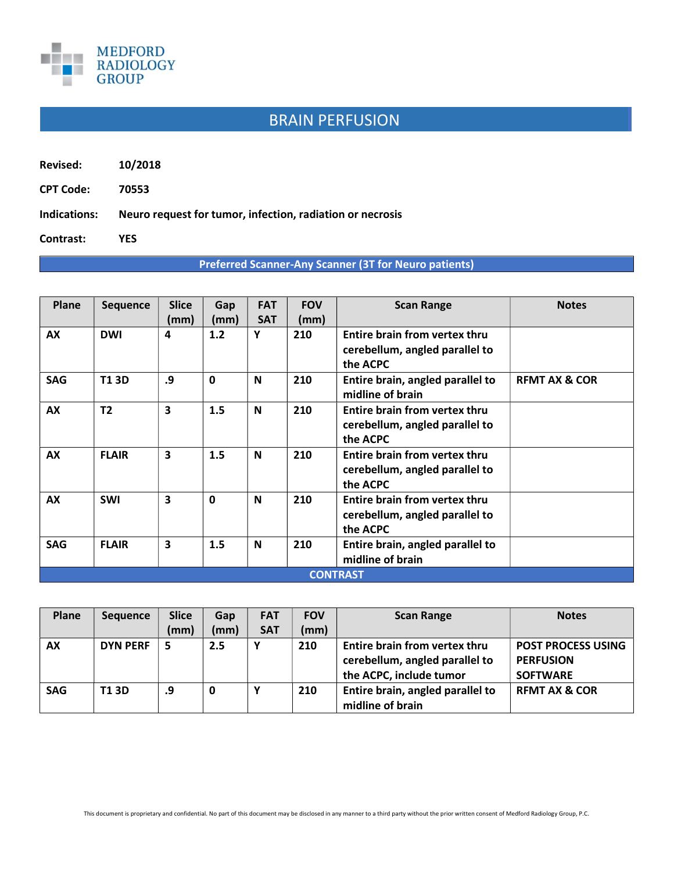

## BRAIN PERFUSION

Revised: 10/2018

CPT Code: 70553

Indications: Neuro request for tumor, infection, radiation or necrosis

Contrast: YES

Preferred Scanner-Any Scanner (3T for Neuro patients)

| <b>Plane</b>    | <b>Sequence</b> | <b>Slice</b> | Gap         | <b>FAT</b> | <b>FOV</b> | <b>Scan Range</b>                | <b>Notes</b>             |  |  |  |
|-----------------|-----------------|--------------|-------------|------------|------------|----------------------------------|--------------------------|--|--|--|
|                 |                 | (mm)         | (mm)        | <b>SAT</b> | (mm)       |                                  |                          |  |  |  |
| AX              | <b>DWI</b>      | 4            | 1.2         | Y          | 210        | Entire brain from vertex thru    |                          |  |  |  |
|                 |                 |              |             |            |            | cerebellum, angled parallel to   |                          |  |  |  |
|                 |                 |              |             |            |            | the ACPC                         |                          |  |  |  |
| <b>SAG</b>      | <b>T13D</b>     | .9           | $\mathbf 0$ | N          | 210        | Entire brain, angled parallel to | <b>REMT AX &amp; COR</b> |  |  |  |
|                 |                 |              |             |            |            | midline of brain                 |                          |  |  |  |
| AX              | T <sub>2</sub>  | 3            | 1.5         | N          | 210        | Entire brain from vertex thru    |                          |  |  |  |
|                 |                 |              |             |            |            | cerebellum, angled parallel to   |                          |  |  |  |
|                 |                 |              |             |            |            | the ACPC                         |                          |  |  |  |
| AX              | <b>FLAIR</b>    | 3            | 1.5         | N          | 210        | Entire brain from vertex thru    |                          |  |  |  |
|                 |                 |              |             |            |            | cerebellum, angled parallel to   |                          |  |  |  |
|                 |                 |              |             |            |            | the ACPC                         |                          |  |  |  |
| AX              | <b>SWI</b>      | 3            | $\mathbf 0$ | N          | 210        | Entire brain from vertex thru    |                          |  |  |  |
|                 |                 |              |             |            |            | cerebellum, angled parallel to   |                          |  |  |  |
|                 |                 |              |             |            |            | the ACPC                         |                          |  |  |  |
| <b>SAG</b>      | <b>FLAIR</b>    | 3            | 1.5         | N          | 210        | Entire brain, angled parallel to |                          |  |  |  |
|                 |                 |              |             |            |            | midline of brain                 |                          |  |  |  |
|                 |                 |              |             |            |            |                                  |                          |  |  |  |
| <b>CONTRAST</b> |                 |              |             |            |            |                                  |                          |  |  |  |

| <b>Plane</b> | <b>Sequence</b> | <b>Slice</b> | Gap  | <b>FAT</b> | <b>FOV</b> | <b>Scan Range</b>                | <b>Notes</b>              |
|--------------|-----------------|--------------|------|------------|------------|----------------------------------|---------------------------|
|              |                 | (mm)         | (mm) | <b>SAT</b> | (mm)       |                                  |                           |
| <b>AX</b>    | <b>DYN PERF</b> | 5            | 2.5  |            | 210        | Entire brain from vertex thru    | <b>POST PROCESS USING</b> |
|              |                 |              |      |            |            | cerebellum, angled parallel to   | <b>PERFUSION</b>          |
|              |                 |              |      |            |            | the ACPC, include tumor          | <b>SOFTWARE</b>           |
| <b>SAG</b>   | T1 3D           | .9           | 0    |            | 210        | Entire brain, angled parallel to | <b>REMT AX &amp; COR</b>  |
|              |                 |              |      |            |            | midline of brain                 |                           |